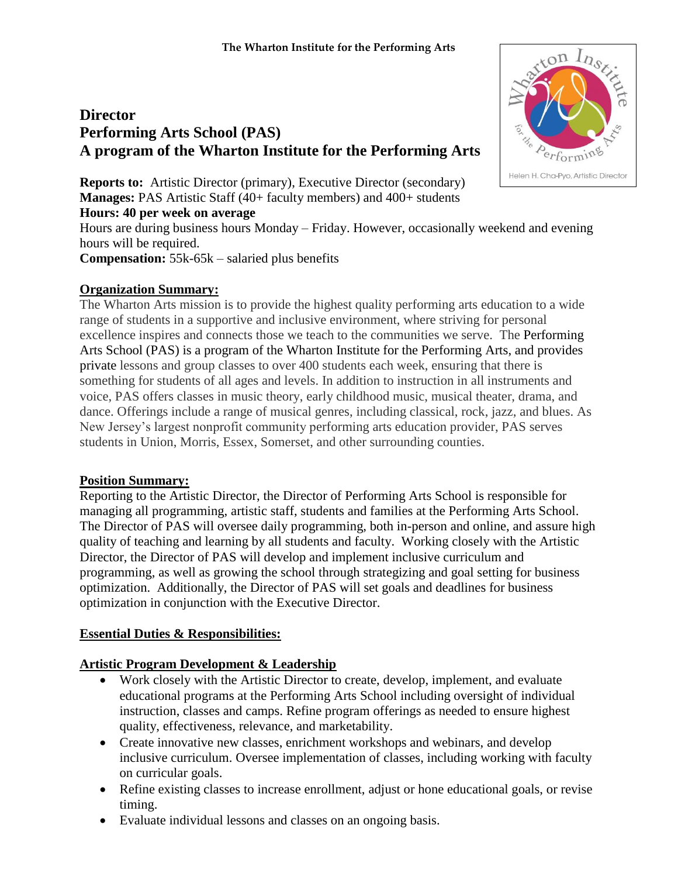# **Director Performing Arts School (PAS) A program of the Wharton Institute for the Performing Arts**



Hours are during business hours Monday – Friday. However, occasionally weekend and evening hours will be required.

**Compensation:** 55k-65k – salaried plus benefits

# **Organization Summary:**

The Wharton Arts mission is to provide the highest quality performing arts education to a wide range of students in a supportive and inclusive environment, where striving for personal excellence inspires and connects those we teach to the communities we serve. The Performing Arts School (PAS) is a program of the Wharton Institute for the Performing Arts, and provides private lessons and group classes to over 400 students each week, ensuring that there is something for students of all ages and levels. In addition to instruction in all instruments and voice, PAS offers classes in music theory, early childhood music, musical theater, drama, and dance. Offerings include a range of musical genres, including classical, rock, jazz, and blues. As New Jersey's largest nonprofit community performing arts education provider, PAS serves students in Union, Morris, Essex, Somerset, and other surrounding counties.

# **Position Summary:**

Reporting to the Artistic Director, the Director of Performing Arts School is responsible for managing all programming, artistic staff, students and families at the Performing Arts School. The Director of PAS will oversee daily programming, both in-person and online, and assure high quality of teaching and learning by all students and faculty. Working closely with the Artistic Director, the Director of PAS will develop and implement inclusive curriculum and programming, as well as growing the school through strategizing and goal setting for business optimization. Additionally, the Director of PAS will set goals and deadlines for business optimization in conjunction with the Executive Director.

# **Essential Duties & Responsibilities:**

# **Artistic Program Development & Leadership**

- Work closely with the Artistic Director to create, develop, implement, and evaluate educational programs at the Performing Arts School including oversight of individual instruction, classes and camps. Refine program offerings as needed to ensure highest quality, effectiveness, relevance, and marketability.
- Create innovative new classes, enrichment workshops and webinars, and develop inclusive curriculum. Oversee implementation of classes, including working with faculty on curricular goals.
- Refine existing classes to increase enrollment, adjust or hone educational goals, or revise timing.
- Evaluate individual lessons and classes on an ongoing basis.

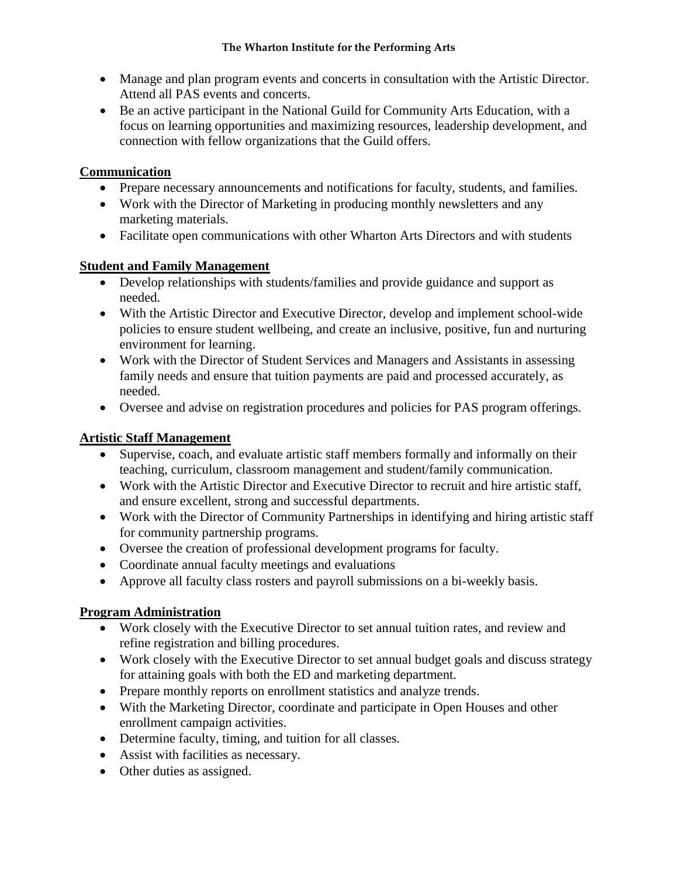- Manage and plan program events and concerts in consultation with the Artistic Director. Attend all PAS events and concerts.
- Be an active participant in the National Guild for Community Arts Education, with a focus on learning opportunities and maximizing resources, leadership development, and connection with fellow organizations that the Guild offers.

#### **Communication**

- Prepare necessary announcements and notifications for faculty, students, and families.
- Work with the Director of Marketing in producing monthly newsletters and any marketing materials.
- Facilitate open communications with other Wharton Arts Directors and with students

#### **Student and Family Management**

- Develop relationships with students/families and provide guidance and support as needed.
- With the Artistic Director and Executive Director, develop and implement school-wide policies to ensure student wellbeing, and create an inclusive, positive, fun and nurturing environment for learning.
- Work with the Director of Student Services and Managers and Assistants in assessing family needs and ensure that tuition payments are paid and processed accurately, as needed.
- Oversee and advise on registration procedures and policies for PAS program offerings.

# **Artistic Staff Management**

- Supervise, coach, and evaluate artistic staff members formally and informally on their teaching, curriculum, classroom management and student/family communication.
- Work with the Artistic Director and Executive Director to recruit and hire artistic staff, and ensure excellent, strong and successful departments.
- Work with the Director of Community Partnerships in identifying and hiring artistic staff for community partnership programs.
- Oversee the creation of professional development programs for faculty.
- Coordinate annual faculty meetings and evaluations
- Approve all faculty class rosters and payroll submissions on a bi-weekly basis.

# **Program Administration**

- Work closely with the Executive Director to set annual tuition rates, and review and refine registration and billing procedures.
- Work closely with the Executive Director to set annual budget goals and discuss strategy for attaining goals with both the ED and marketing department.
- Prepare monthly reports on enrollment statistics and analyze trends.
- With the Marketing Director, coordinate and participate in Open Houses and other enrollment campaign activities.
- Determine faculty, timing, and tuition for all classes.
- Assist with facilities as necessary.
- Other duties as assigned.